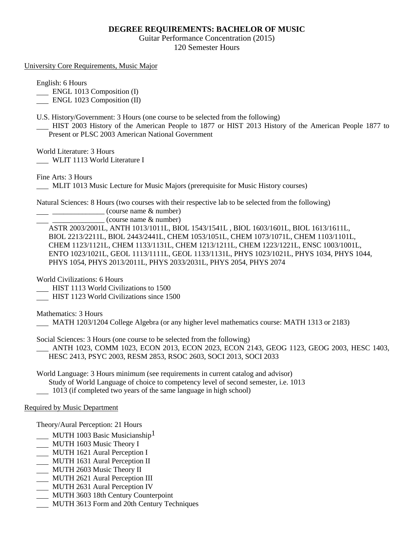## **DEGREE REQUIREMENTS: BACHELOR OF MUSIC**

Guitar Performance Concentration (2015) 120 Semester Hours

University Core Requirements, Music Major

English: 6 Hours

**ENGL 1013 Composition (I)** 

ENGL 1023 Composition (II)

U.S. History/Government: 3 Hours (one course to be selected from the following)

 HIST 2003 History of the American People to 1877 or HIST 2013 History of the American People 1877 to Present or PLSC 2003 American National Government

World Literature: 3 Hours

WLIT 1113 World Literature I

Fine Arts: 3 Hours

MLIT 1013 Music Lecture for Music Majors (prerequisite for Music History courses)

Natural Sciences: 8 Hours (two courses with their respective lab to be selected from the following)

 $\frac{1}{2}$   $\frac{1}{2}$   $\frac{1}{2}$   $\frac{1}{2}$   $\frac{1}{2}$   $\frac{1}{2}$   $\frac{1}{2}$   $\frac{1}{2}$   $\frac{1}{2}$   $\frac{1}{2}$   $\frac{1}{2}$   $\frac{1}{2}$   $\frac{1}{2}$   $\frac{1}{2}$   $\frac{1}{2}$   $\frac{1}{2}$   $\frac{1}{2}$   $\frac{1}{2}$   $\frac{1}{2}$   $\frac{1}{2}$   $\frac{1}{2}$   $\frac{1}{2}$ 

\_\_\_\_\_\_\_\_\_\_\_\_\_\_ (course name & number)

ASTR 2003/2001L, ANTH 1013/1011L, BIOL 1543/1541L , BIOL 1603/1601L, BIOL 1613/1611L, BIOL 2213/2211L, BIOL 2443/2441L, CHEM 1053/1051L, CHEM 1073/1071L, CHEM 1103/1101L, CHEM 1123/1121L, CHEM 1133/1131L, CHEM 1213/1211L, CHEM 1223/1221L, ENSC 1003/1001L, ENTO 1023/1021L, GEOL 1113/1111L, GEOL 1133/1131L, PHYS 1023/1021L, PHYS 1034, PHYS 1044, PHYS 1054, PHYS 2013/2011L, PHYS 2033/2031L, PHYS 2054, PHYS 2074

World Civilizations: 6 Hours

HIST 1113 World Civilizations to 1500

HIST 1123 World Civilizations since 1500

Mathematics: 3 Hours

MATH 1203/1204 College Algebra (or any higher level mathematics course: MATH 1313 or 2183)

Social Sciences: 3 Hours (one course to be selected from the following)

 ANTH 1023, COMM 1023, ECON 2013, ECON 2023, ECON 2143, GEOG 1123, GEOG 2003, HESC 1403, HESC 2413, PSYC 2003, RESM 2853, RSOC 2603, SOCI 2013, SOCI 2033

World Language: 3 Hours minimum (see requirements in current catalog and advisor) Study of World Language of choice to competency level of second semester, i.e. 1013 1013 (if completed two years of the same language in high school)

## Required by Music Department

Theory/Aural Perception: 21 Hours

- **MUTH 1003 Basic Musicianship**<sup>1</sup>
- MUTH 1603 Music Theory I
- MUTH 1621 Aural Perception I
- MUTH 1631 Aural Perception II
- MUTH 2603 Music Theory II
- MUTH 2621 Aural Perception III
- MUTH 2631 Aural Perception IV
- MUTH 3603 18th Century Counterpoint
- MUTH 3613 Form and 20th Century Techniques